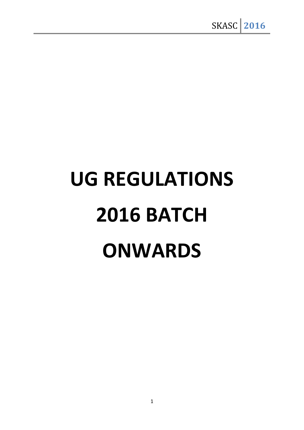# **UG REGULATIONS 2016 BATCH ONWARDS**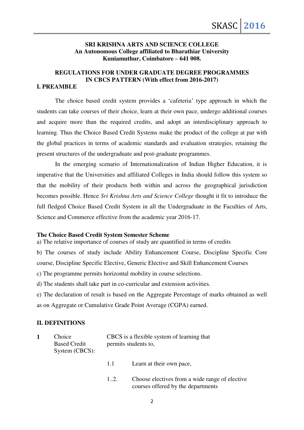### **SRI KRISHNA ARTS AND SCIENCE COLLEGE An Autonomous College affiliated to Bharathiar University Kuniamuthur, Coimbatore – 641 008.**

## **REGULATIONS FOR UNDER GRADUATE DEGREE PROGRAMMES IN CBCS PATTERN (With effect from 2016-2017)**

## **I. PREAMBLE**

The choice based credit system provides a 'cafeteria' type approach in which the students can take courses of their choice, learn at their own pace, undergo additional courses and acquire more than the required credits, and adopt an interdisciplinary approach to learning. Thus the Choice Based Credit Systems make the product of the college at par with the global practices in terms of academic standards and evaluation strategies, retaining the present structures of the undergraduate and post-graduate programmes.

In the emerging scenario of Internationalization of Indian Higher Education, it is imperative that the Universities and affiliated Colleges in India should follow this system so that the mobility of their products both within and across the geographical jurisdiction becomes possible. Hence *Sri Krishna Arts and Science College* thought it fit to introduce the full fledged Choice Based Credit System in all the Undergraduate in the Faculties of Arts, Science and Commerce effective from the academic year 2016-17.

#### **The Choice Based Credit System Semester Scheme**

a) The relative importance of courses of study are quantified in terms of credits

b) The courses of study include Ability Enhancement Course, Discipline Specific Core course, Discipline Specific Elective, Generic Elective and Skill Enhancement Courses

c) The programme permits horizontal mobility in course selections.

d) The students shall take part in co-curricular and extension activities.

e) The declaration of result is based on the Aggregate Percentage of marks obtained as well as on Aggregate or Cumulative Grade Point Average (CGPA) earned.

## **II. DEFINITIONS**

| Choice<br><b>Based Credit</b><br>System (CBCS): |     | CBCS is a flexible system of learning that<br>permits students to,                   |  |  |
|-------------------------------------------------|-----|--------------------------------------------------------------------------------------|--|--|
|                                                 | 1.1 | Learn at their own pace,                                                             |  |  |
|                                                 | 12. | Choose electives from a wide range of elective<br>courses offered by the departments |  |  |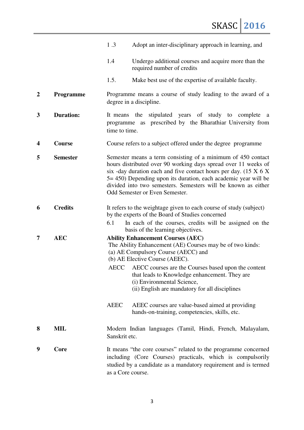|                         |                  | 1.3<br>Adopt an inter-disciplinary approach in learning, and                                                                                                                                                                                                                                                                                                                          |  |
|-------------------------|------------------|---------------------------------------------------------------------------------------------------------------------------------------------------------------------------------------------------------------------------------------------------------------------------------------------------------------------------------------------------------------------------------------|--|
|                         |                  | 1.4<br>Undergo additional courses and acquire more than the<br>required number of credits                                                                                                                                                                                                                                                                                             |  |
|                         |                  | 1.5.<br>Make best use of the expertise of available faculty.                                                                                                                                                                                                                                                                                                                          |  |
| $\overline{2}$          | Programme        | Programme means a course of study leading to the award of a<br>degree in a discipline.                                                                                                                                                                                                                                                                                                |  |
| 3                       | <b>Duration:</b> | stipulated years of study to complete a<br>the<br>It means<br>programme as prescribed by the Bharathiar University from<br>time to time.                                                                                                                                                                                                                                              |  |
| $\overline{\mathbf{4}}$ | Course           | Course refers to a subject offered under the degree programme                                                                                                                                                                                                                                                                                                                         |  |
| 5                       | <b>Semester</b>  | Semester means a term consisting of a minimum of 450 contact<br>hours distributed over 90 working days spread over 11 weeks of<br>six -day duration each and five contact hours per day. $(15 \times 6 \times$<br>5 = 450) Depending upon its duration, each academic year will be<br>divided into two semesters. Semesters will be known as either<br>Odd Semester or Even Semester. |  |
| 6                       | <b>Credits</b>   | It refers to the weightage given to each course of study (subject)<br>by the experts of the Board of Studies concerned                                                                                                                                                                                                                                                                |  |
|                         |                  | 6.1<br>In each of the courses, credits will be assigned on the<br>basis of the learning objectives.                                                                                                                                                                                                                                                                                   |  |
| 7                       | <b>AEC</b>       | <b>Ability Enhancement Courses (AEC)</b><br>The Ability Enhancement (AE) Courses may be of two kinds:<br>(a) AE Compulsory Course (AECC) and<br>(b) AE Elective Course (AEEC).<br>AECC AECC courses are the Courses based upon the content<br>that leads to Knowledge enhancement. They are<br>(i) Environmental Science,<br>(ii) English are mandatory for all disciplines           |  |
|                         |                  | <b>AEEC</b><br>AEEC courses are value-based aimed at providing<br>hands-on-training, competencies, skills, etc.                                                                                                                                                                                                                                                                       |  |
| 8                       | MIL              | Modern Indian languages (Tamil, Hindi, French, Malayalam,<br>Sanskrit etc.                                                                                                                                                                                                                                                                                                            |  |
| 9                       | Core             | It means "the core courses" related to the programme concerned<br>including (Core Courses) practicals, which is compulsorily<br>studied by a candidate as a mandatory requirement and is termed<br>as a Core course.                                                                                                                                                                  |  |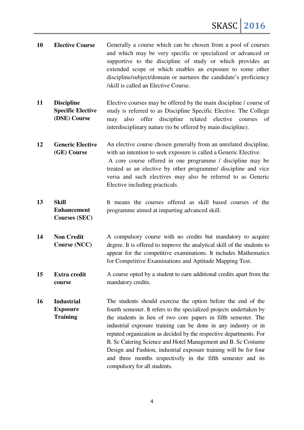- **10 Elective Course** Generally a course which can be chosen from a pool of courses and which may be very specific or specialized or advanced or supportive to the discipline of study or which provides an extended scope or which enables an exposure to some other discipline/subject/domain or nurtures the candidate's proficiency /skill is called an Elective Course.
- **11 Discipline Specific Elective (DSE) Course**  Elective courses may be offered by the main discipline / course of study is referred to as Discipline Specific Elective. The College may also offer discipline related elective courses of interdisciplinary nature (to be offered by main discipline).
- **12 Generic Elective (GE) Course**  An elective course chosen generally from an unrelated discipline, with an intention to seek exposure is called a Generic Elective. A core course offered in one programme / discipline may be treated as an elective by other programme/ discipline and vice versa and such electives may also be referred to as Generic Elective including practicals.
- **13 Skill Enhancement Courses (SEC)**  It means the courses offered as skill based courses of the programme aimed at imparting advanced skill.
- **14 Non Credit Course (NCC)**  A compulsory course with no credits but mandatory to acquire degree. It is offered to improve the analytical skill of the students to appear for the competitive examinations. It includes Mathematics for Competitive Examinations and Aptitude Mapping Test.
- **15 Extra credit course**  A course opted by a student to earn additional credits apart from the mandatory credits.
- **16 Industrial Exposure Training**  The students should exercise the option before the end of the fourth semester. It refers to the specialized projects undertaken by the students in lieu of two core papers in fifth semester. The industrial exposure training can be done in any industry or in reputed organization as decided by the respective departments. For B. Sc Catering Science and Hotel Management and B. Sc Costume Design and Fashion, industrial exposure training will be for four and three months respectively in the fifth semester and its compulsory for all students.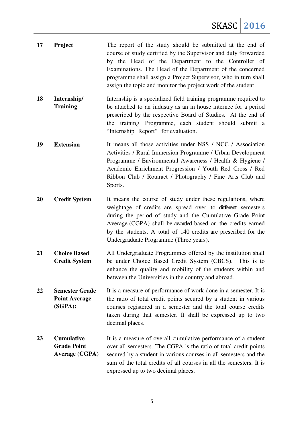| 17 | Project                                                          | The report of the study should be submitted at the end of<br>course of study certified by the Supervisor and duly forwarded<br>by the Head of the Department to the Controller of<br>Examinations. The Head of the Department of the concerned<br>programme shall assign a Project Supervisor, who in turn shall<br>assign the topic and monitor the project work of the student. |
|----|------------------------------------------------------------------|-----------------------------------------------------------------------------------------------------------------------------------------------------------------------------------------------------------------------------------------------------------------------------------------------------------------------------------------------------------------------------------|
| 18 | Internship/<br><b>Training</b>                                   | Internship is a specialized field training programme required to<br>be attached to an industry as an in house internee for a period<br>prescribed by the respective Board of Studies. At the end of<br>the training Programme, each student should submit a<br>"Internship Report" for evaluation.                                                                                |
| 19 | <b>Extension</b>                                                 | It means all those activities under NSS / NCC / Association<br>Activities / Rural Immersion Programme / Urban Development<br>Programme / Environmental Awareness / Health & Hygiene /<br>Academic Enrichment Progression / Youth Red Cross / Red<br>Ribbon Club / Rotaract / Photography / Fine Arts Club and<br>Sports.                                                          |
| 20 | <b>Credit System</b>                                             | It means the course of study under these regulations, where<br>weightage of credits are spread over to different semesters<br>during the period of study and the Cumulative Grade Point<br>Average (CGPA) shall be awarded based on the credits earned<br>by the students. A total of 140 credits are prescribed for the<br>Undergraduate Programme (Three years).                |
| 21 | <b>Choice Based</b><br><b>Credit System</b>                      | All Undergraduate Programmes offered by the institution shall<br>be under Choice Based Credit System (CBCS). This is to<br>enhance the quality and mobility of the students within and<br>between the Universities in the country and abroad.                                                                                                                                     |
| 22 | <b>Semester Grade</b><br><b>Point Average</b><br>(SGPA):         | It is a measure of performance of work done in a semester. It is<br>the ratio of total credit points secured by a student in various<br>courses registered in a semester and the total course credits<br>taken during that semester. It shall be expressed up to two<br>decimal places.                                                                                           |
| 23 | <b>Cumulative</b><br><b>Grade Point</b><br><b>Average (CGPA)</b> | It is a measure of overall cumulative performance of a student<br>over all semesters. The CGPA is the ratio of total credit points<br>secured by a student in various courses in all semesters and the<br>sum of the total credits of all courses in all the semesters. It is<br>expressed up to two decimal places.                                                              |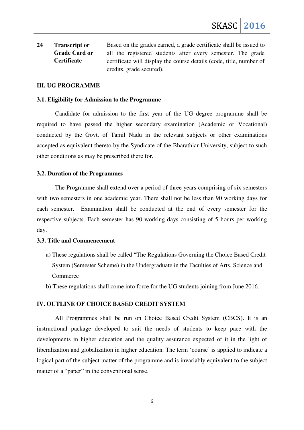**24 Transcript or Grade Card or Certificate**  Based on the grades earned, a grade certificate shall be issued to all the registered students after every semester. The grade certificate will display the course details (code, title, number of credits, grade secured).

## **III. UG PROGRAMME**

#### **3.1. Eligibility for Admission to the Programme**

Candidate for admission to the first year of the UG degree programme shall be required to have passed the higher secondary examination (Academic or Vocational) conducted by the Govt. of Tamil Nadu in the relevant subjects or other examinations accepted as equivalent thereto by the Syndicate of the Bharathiar University, subject to such other conditions as may be prescribed there for.

#### **3.2. Duration of the Programmes**

The Programme shall extend over a period of three years comprising of six semesters with two semesters in one academic year. There shall not be less than 90 working days for each semester. Examination shall be conducted at the end of every semester for the respective subjects. Each semester has 90 working days consisting of 5 hours per working day.

#### **3.3. Title and Commencement**

- a) These regulations shall be called "The Regulations Governing the Choice Based Credit System (Semester Scheme) in the Undergraduate in the Faculties of Arts, Science and Commerce
- b) These regulations shall come into force for the UG students joining from June 2016.

#### **IV. OUTLINE OF CHOICE BASED CREDIT SYSTEM**

All Programmes shall be run on Choice Based Credit System (CBCS). It is an instructional package developed to suit the needs of students to keep pace with the developments in higher education and the quality assurance expected of it in the light of liberalization and globalization in higher education. The term 'course' is applied to indicate a logical part of the subject matter of the programme and is invariably equivalent to the subject matter of a "paper" in the conventional sense.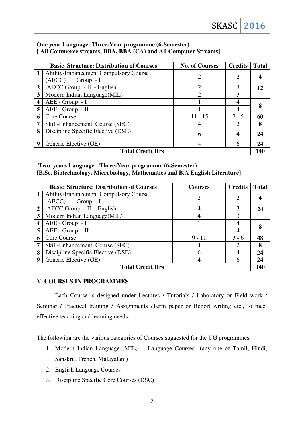## **One year Language: Three-Year programme (6-Semester) [ All Commerce streams, BBA, BBA (CA) and All Computer Streams]**

|                         | <b>Basic Structure: Distribution of Courses</b> | <b>No. of Courses</b> | <b>Credits</b>              | <b>Total</b> |  |
|-------------------------|-------------------------------------------------|-----------------------|-----------------------------|--------------|--|
| 1                       | <b>Ability-Enhancement Compulsory Course</b>    | 2                     | 2                           |              |  |
|                         | (AECC)<br>$Group - I$                           |                       |                             |              |  |
| $\overline{2}$          | AECC Group - II - English                       | 2                     | 3                           | 12           |  |
| 3                       | Modern Indian Language(MIL)                     | 2                     | 3                           |              |  |
| $\overline{\mathbf{4}}$ | $AEE - Group - I$                               |                       | 4                           |              |  |
| 5                       | AEE - Group - II                                |                       | $\overline{4}$              |              |  |
| 6                       | Core Course                                     | $11 - 15$             | $2 - 5$                     | 60           |  |
| 7                       | Skill-Enhancement Course (SEC)                  |                       | $\mathcal{D}_{\mathcal{L}}$ | 8            |  |
| 8                       | Discipline Specific Elective (DSE)              | 6                     | 4                           | 24           |  |
| 9                       | Generic Elective (GE)                           | 4                     | 6                           | 24           |  |
| <b>Total Credit Hrs</b> |                                                 |                       |                             |              |  |

## **Two years Language : Three-Year programme (6-Semester) [B.Sc. Biotechnology, Microbiology, Mathematics and B.A English Literature]**

|                         | <b>Basic Structure: Distribution of Courses</b> | <b>Courses</b> | <b>Credits</b> | <b>Total</b> |
|-------------------------|-------------------------------------------------|----------------|----------------|--------------|
|                         | <b>Ability-Enhancement Compulsory Course</b>    |                | $\overline{2}$ |              |
|                         | (AECC)<br>$Group - I$                           |                |                |              |
| $\overline{2}$          | AECC Group - II - English                       | 4              | 3              | 24           |
| 3                       | Modern Indian Language(MIL)                     |                | 3              |              |
| $\boldsymbol{4}$        | AEE - Group - I                                 |                | 4              |              |
| 5                       | AEE - Group - II                                |                |                |              |
| 6                       | Core Course                                     | $9 - 11$       | $3 - 6$        | 48           |
| 7                       | Skill-Enhancement Course (SEC)                  |                | っ              | 8            |
| 8                       | Discipline Specific Elective (DSE)              | 6              |                | 24           |
| 9                       | Generic Elective (GE)                           |                | 6              | 24           |
| <b>Total Credit Hrs</b> |                                                 |                |                |              |

## **V. COURSES IN PROGRAMMES**

Each Course is designed under Lectures / Tutorials / Laboratory or Field work / Seminar / Practical training / Assignments /Term paper or Report writing etc., to meet effective teaching and learning needs.

The following are the various categories of Courses suggested for the UG programmes.

- 1. Modern Indian Language (MIL) Language Courses (any one of Tamil, Hindi, Sanskrit, French, Malayalam)
- 2. English Language Courses
- 3. Discipline Specific Core Courses (DSC)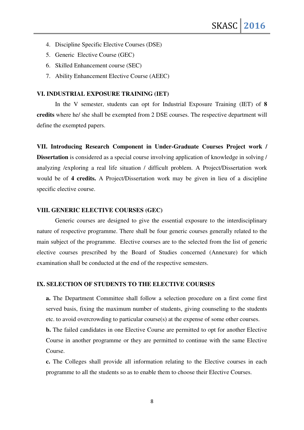- 4. Discipline Specific Elective Courses (DSE)
- 5. Generic Elective Course (GEC)
- 6. Skilled Enhancement course (SEC)
- 7. Ability Enhancement Elective Course (AEEC)

## **VI. INDUSTRIAL EXPOSURE TRAINING (IET)**

In the V semester, students can opt for Industrial Exposure Training (IET) of **8 credits** where he/ she shall be exempted from 2 DSE courses. The respective department will define the exempted papers.

**VII. Introducing Research Component in Under-Graduate Courses Project work / Dissertation** is considered as a special course involving application of knowledge in solving / analyzing /exploring a real life situation / difficult problem. A Project/Dissertation work would be of **4 credits.** A Project/Dissertation work may be given in lieu of a discipline specific elective course.

## **VIII. GENERIC ELECTIVE COURSES (GEC)**

Generic courses are designed to give the essential exposure to the interdisciplinary nature of respective programme. There shall be four generic courses generally related to the main subject of the programme. Elective courses are to the selected from the list of generic elective courses prescribed by the Board of Studies concerned (Annexure) for which examination shall be conducted at the end of the respective semesters.

### **IX. SELECTION OF STUDENTS TO THE ELECTIVE COURSES**

**a.** The Department Committee shall follow a selection procedure on a first come first served basis, fixing the maximum number of students, giving counseling to the students etc. to avoid overcrowding to particular course(s) at the expense of some other courses.

**b.** The failed candidates in one Elective Course are permitted to opt for another Elective Course in another programme or they are permitted to continue with the same Elective Course.

**c.** The Colleges shall provide all information relating to the Elective courses in each programme to all the students so as to enable them to choose their Elective Courses.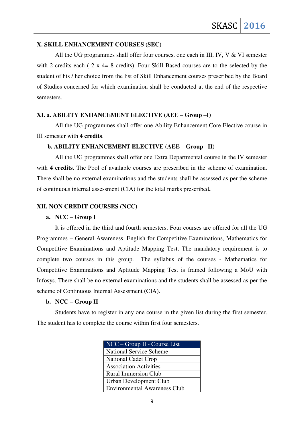## **X. SKILL ENHANCEMENT COURSES (SEC)**

All the UG programmes shall offer four courses, one each in III, IV, V & VI semester with 2 credits each ( 2 x 4= 8 credits). Four Skill Based courses are to the selected by the student of his / her choice from the list of Skill Enhancement courses prescribed by the Board of Studies concerned for which examination shall be conducted at the end of the respective semesters.

## **XI. a. ABILITY ENHANCEMENT ELECTIVE (AEE – Group –I)**

All the UG programmes shall offer one Ability Enhancement Core Elective course in III semester with **4 credits**.

#### **b. ABILITY ENHANCEMENT ELECTIVE (AEE – Group –II)**

All the UG programmes shall offer one Extra Departmental course in the IV semester with **4 credits**. The Pool of available courses are prescribed in the scheme of examination. There shall be no external examinations and the students shall be assessed as per the scheme of continuous internal assessment (CIA) for the total marks prescribed**.** 

## **XII. NON CREDIT COURSES (NCC)**

#### **a. NCC – Group I**

It is offered in the third and fourth semesters. Four courses are offered for all the UG Programmes – General Awareness, English for Competitive Examinations, Mathematics for Competitive Examinations and Aptitude Mapping Test. The mandatory requirement is to complete two courses in this group. The syllabus of the courses - Mathematics for Competitive Examinations and Aptitude Mapping Test is framed following a MoU with Infosys. There shall be no external examinations and the students shall be assessed as per the scheme of Continuous Internal Assessment (CIA).

#### **b. NCC – Group II**

Students have to register in any one course in the given list during the first semester. The student has to complete the course within first four semesters.

| $NCC - \overline{Group} \ II$ - Course List |
|---------------------------------------------|
| <b>National Service Scheme</b>              |
| <b>National Cadet Crop</b>                  |
| <b>Association Activities</b>               |
| <b>Rural Immersion Club</b>                 |
| Urban Development Club                      |
| <b>Environmental Awareness Club</b>         |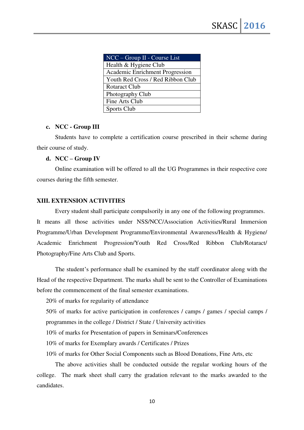| $NCC - Group II - Course List$    |
|-----------------------------------|
| Health & Hygiene Club             |
| Academic Enrichment Progression   |
| Youth Red Cross / Red Ribbon Club |
| <b>Rotaract Club</b>              |
| Photography Club                  |
| Fine Arts Club                    |
| Sports Club                       |

## **c. NCC - Group III**

Students have to complete a certification course prescribed in their scheme during their course of study.

## **d. NCC – Group IV**

Online examination will be offered to all the UG Programmes in their respective core courses during the fifth semester.

## **XIII. EXTENSION ACTIVITIES**

Every student shall participate compulsorily in any one of the following programmes. It means all those activities under NSS/NCC/Association Activities/Rural Immersion Programme/Urban Development Programme/Environmental Awareness/Health & Hygiene/ Academic Enrichment Progression/Youth Red Cross/Red Ribbon Club/Rotaract/ Photography/Fine Arts Club and Sports.

The student's performance shall be examined by the staff coordinator along with the Head of the respective Department. The marks shall be sent to the Controller of Examinations before the commencement of the final semester examinations.

20% of marks for regularity of attendance

50% of marks for active participation in conferences / camps / games / special camps / programmes in the college / District / State / University activities

10% of marks for Presentation of papers in Seminars/Conferences

10% of marks for Exemplary awards / Certificates / Prizes

10% of marks for Other Social Components such as Blood Donations, Fine Arts, etc

The above activities shall be conducted outside the regular working hours of the college. The mark sheet shall carry the gradation relevant to the marks awarded to the candidates.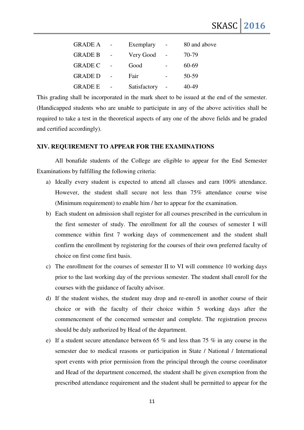| <b>GRADE A</b> | Exemplary    | 80 and above |
|----------------|--------------|--------------|
| <b>GRADE B</b> | Very Good    | 70-79        |
| <b>GRADE C</b> | Good         | 60-69        |
| <b>GRADE D</b> | Fair         | 50-59        |
| <b>GRADE E</b> | Satisfactory | 40-49        |

This grading shall be incorporated in the mark sheet to be issued at the end of the semester. (Handicapped students who are unable to participate in any of the above activities shall be required to take a test in the theoretical aspects of any one of the above fields and be graded and certified accordingly).

#### **XIV. REQUIREMENT TO APPEAR FOR THE EXAMINATIONS**

All bonafide students of the College are eligible to appear for the End Semester Examinations by fulfilling the following criteria:

- a) Ideally every student is expected to attend all classes and earn 100% attendance. However, the student shall secure not less than 75% attendance course wise (Minimum requirement) to enable him / her to appear for the examination.
- b) Each student on admission shall register for all courses prescribed in the curriculum in the first semester of study. The enrollment for all the courses of semester I will commence within first 7 working days of commencement and the student shall confirm the enrollment by registering for the courses of their own preferred faculty of choice on first come first basis.
- c) The enrollment for the courses of semester II to VI will commence 10 working days prior to the last working day of the previous semester. The student shall enroll for the courses with the guidance of faculty advisor.
- d) If the student wishes, the student may drop and re-enroll in another course of their choice or with the faculty of their choice within 5 working days after the commencement of the concerned semester and complete. The registration process should be duly authorized by Head of the department.
- e) If a student secure attendance between 65 % and less than 75 % in any course in the semester due to medical reasons or participation in State / National / International sport events with prior permission from the principal through the course coordinator and Head of the department concerned, the student shall be given exemption from the prescribed attendance requirement and the student shall be permitted to appear for the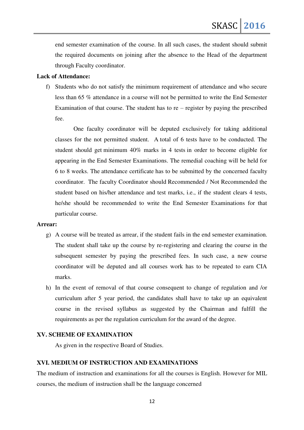end semester examination of the course. In all such cases, the student should submit the required documents on joining after the absence to the Head of the department through Faculty coordinator.

## **Lack of Attendance:**

f) Students who do not satisfy the minimum requirement of attendance and who secure less than 65 % attendance in a course will not be permitted to write the End Semester Examination of that course. The student has to  $re$  – register by paying the prescribed fee.

One faculty coordinator will be deputed exclusively for taking additional classes for the not permitted student. A total of 6 tests have to be conducted. The student should get minimum 40% marks in 4 tests in order to become eligible for appearing in the End Semester Examinations. The remedial coaching will be held for 6 to 8 weeks. The attendance certificate has to be submitted by the concerned faculty coordinator. The faculty Coordinator should Recommended / Not Recommended the student based on his/her attendance and test marks, i.e., if the student clears 4 tests, he/she should be recommended to write the End Semester Examinations for that particular course.

#### **Arrear:**

- g) A course will be treated as arrear, if the student fails in the end semester examination. The student shall take up the course by re-registering and clearing the course in the subsequent semester by paying the prescribed fees. In such case, a new course coordinator will be deputed and all courses work has to be repeated to earn CIA marks.
- h) In the event of removal of that course consequent to change of regulation and /or curriculum after 5 year period, the candidates shall have to take up an equivalent course in the revised syllabus as suggested by the Chairman and fulfill the requirements as per the regulation curriculum for the award of the degree.

## **XV. SCHEME OF EXAMINATION**

As given in the respective Board of Studies.

## **XVI. MEDIUM OF INSTRUCTION AND EXAMINATIONS**

The medium of instruction and examinations for all the courses is English. However for MIL courses, the medium of instruction shall be the language concerned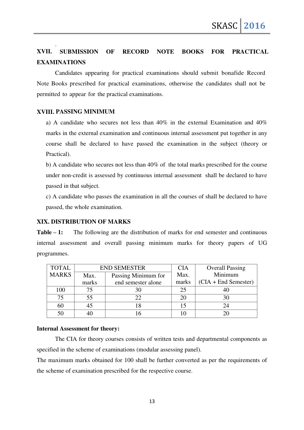# **XVII. SUBMISSION OF RECORD NOTE BOOKS FOR PRACTICAL EXAMINATIONS**

Candidates appearing for practical examinations should submit bonafide Record Note Books prescribed for practical examinations, otherwise the candidates shall not be permitted to appear for the practical examinations.

## **XVIII. PASSING MINIMUM**

.

a) A candidate who secures not less than 40% in the external Examination and 40% marks in the external examination and continuous internal assessment put together in any course shall be declared to have passed the examination in the subject (theory or Practical).

b) A candidate who secures not less than 40% of the total marks prescribed for the course under non-credit is assessed by continuous internal assessment shall be declared to have passed in that subject.

c) A candidate who passes the examination in all the courses of shall be declared to have passed, the whole examination.

## **XIX. DISTRIBUTION OF MARKS**

**Table – 1:** The following are the distribution of marks for end semester and continuous internal assessment and overall passing minimum marks for theory papers of UG programmes.

| <b>TOTAL</b> |                             | <b>END SEMESTER</b> | <b>CIA</b> | <b>Overall Passing</b> |
|--------------|-----------------------------|---------------------|------------|------------------------|
| <b>MARKS</b> | Passing Minimum for<br>Max. |                     | Max.       | Minimum                |
|              | end semester alone<br>marks |                     | marks      | $(CIA + End Semester)$ |
| 100          |                             | 30                  | 25         |                        |
| 75           | 55                          | 22                  | 20         |                        |
| 60           |                             |                     | 15         |                        |
| 50           |                             |                     |            |                        |

#### **Internal Assessment for theory:**

The CIA for theory courses consists of written tests and departmental components as specified in the scheme of examinations (modular assessing panel).

The maximum marks obtained for 100 shall be further converted as per the requirements of the scheme of examination prescribed for the respective course.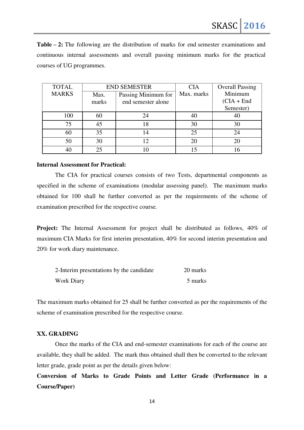**Table – 2:** The following are the distribution of marks for end semester examinations and continuous internal assessments and overall passing minimum marks for the practical courses of UG programmes.

| <b>TOTAL</b> | <b>END SEMESTER</b> |                     | <b>CIA</b> | <b>Overall Passing</b> |
|--------------|---------------------|---------------------|------------|------------------------|
| <b>MARKS</b> | Max.                | Passing Minimum for | Max. marks | Minimum                |
|              | marks               | end semester alone  |            | $(CIA + End$           |
|              |                     |                     |            | Semester)              |
| 100          | 60                  | 24                  | 40         |                        |
| 75           | 45                  | 18                  | 30         | 30                     |
| 60           | 35                  | 14                  | 25         | 24                     |
| 50           | 30                  |                     | 20         | 20                     |
|              |                     |                     |            |                        |

### **Internal Assessment for Practical:**

The CIA for practical courses consists of two Tests, departmental components as specified in the scheme of examinations (modular assessing panel). The maximum marks obtained for 100 shall be further converted as per the requirements of the scheme of examination prescribed for the respective course.

**Project:** The Internal Assessment for project shall be distributed as follows, 40% of maximum CIA Marks for first interim presentation, 40% for second interim presentation and 20% for work diary maintenance.

| 2-Interim presentations by the candidate | 20 marks |
|------------------------------------------|----------|
| Work Diary                               | 5 marks  |

The maximum marks obtained for 25 shall be further converted as per the requirements of the scheme of examination prescribed for the respective course.

## **XX. GRADING**

Once the marks of the CIA and end-semester examinations for each of the course are available, they shall be added. The mark thus obtained shall then be converted to the relevant letter grade, grade point as per the details given below:

**Conversion of Marks to Grade Points and Letter Grade (Performance in a Course/Paper)**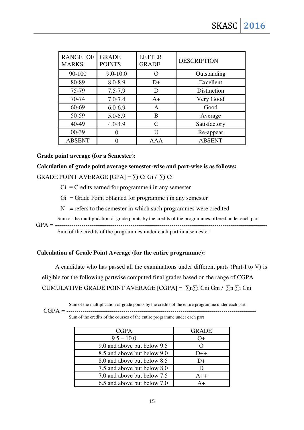| <b>RANGE OF</b><br><b>MARKS</b> | <b>GRADE</b><br><b>POINTS</b> | <b>LETTER</b><br><b>GRADE</b> | <b>DESCRIPTION</b> |
|---------------------------------|-------------------------------|-------------------------------|--------------------|
| $90 - 100$                      | $9.0 - 10.0$                  |                               | Outstanding        |
| 80-89                           | 8.0-8.9                       | $D+$                          | Excellent          |
| 75-79                           | $7.5 - 7.9$                   | D                             | Distinction        |
| 70-74                           | $7.0 - 7.4$                   | $A+$                          | Very Good          |
| 60-69                           | $6.0 - 6.9$                   | A                             | Good               |
| 50-59                           | 5.0-5.9                       | B                             | Average            |
| 40-49                           | $4.0 - 4.9$                   | $\mathcal{C}_{\mathcal{C}}$   | Satisfactory       |
| $00-39$                         |                               | ĪΙ                            | Re-appear          |
| <b>ABSENT</b>                   |                               | AAA                           | <b>ABSENT</b>      |

## **Grade point average (for a Semester):**

# **Calculation of grade point average semester-wise and part-wise is as follows:**  GRADE POINT AVERAGE  $[GPA] = \sum i Ci Gi / \sum i Ci$

- $Ci = C$ redits earned for programme i in any semester
- $Gi = Grade Point obtained for programme i in any semester$
- $N =$  refers to the semester in which such programmes were credited
- Sum of the multiplication of grade points by the credits of the programmes offered under each part

GPA = --------------------------------------------------------------------------------------------------------

Sum of the credits of the programmes under each part in a semester

#### **Calculation of Grade Point Average (for the entire programme):**

A candidate who has passed all the examinations under different parts (Part-I to V) is eligible for the following partwise computed final grades based on the range of CGPA. CUMULATIVE GRADE POINT AVERAGE [CGPA] =  $\sum n \sum i$  Cni Gni /  $\sum n \sum i$  Cni

Sum of the multiplication of grade points by the credits of the entire programme under each part

CGPA = --------------------------------------------------------------------------------------------- Sum of the credits of the courses of the entire programme under each part

| <b>CGPA</b>                 | <b>GRADE</b> |
|-----------------------------|--------------|
| $9.5 - 10.0$                | $O+$         |
| 9.0 and above but below 9.5 |              |
| 8.5 and above but below 9.0 | $D++$        |
| 8.0 and above but below 8.5 | D+           |
| 7.5 and above but below 8.0 |              |
| 7.0 and above but below 7.5 | $A++$        |
| 6.5 and above but below 7.0 |              |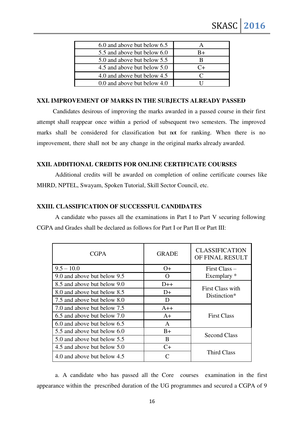| 6.0 and above but below 6.5 |         |
|-----------------------------|---------|
| 5.5 and above but below 6.0 | B+      |
| 5.0 and above but below 5.5 |         |
| 4.5 and above but below 5.0 | $C_{+}$ |
| 4.0 and above but below 4.5 | ⊖       |
| 0.0 and above but below 4.0 |         |

## **XXI. IMPROVEMENT OF MARKS IN THE SUBJECTS ALREADY PASSED**

Candidates desirous of improving the marks awarded in a passed course in their first attempt shall reappear once within a period of subsequent two semesters. The improved marks shall be considered for classification but not for ranking. When there is no improvement, there shall not be any change in the original marks already awarded.

## **XXII. ADDITIONAL CREDITS FOR ONLINE CERTIFICATE COURSES**

 Additional credits will be awarded on completion of online certificate courses like MHRD, NPTEL, Swayam, Spoken Tutorial, Skill Sector Council, etc.

## **XXIII. CLASSIFICATION OF SUCCESSFUL CANDIDATES**

 A candidate who passes all the examinations in Part I to Part V securing following CGPA and Grades shall be declared as follows for Part I or Part II or Part III:

| <b>CGPA</b>                 | <b>GRADE</b>     | <b>CLASSIFICATION</b><br>OF FINAL RESULT |
|-----------------------------|------------------|------------------------------------------|
| $9.5 - 10.0$                | $O+$             | First Class-                             |
| 9.0 and above but below 9.5 | $\left( \right)$ | Exemplary *                              |
| 8.5 and above but below 9.0 | $D++$            | First Class with<br>Distinction*         |
| 8.0 and above but below 8.5 | $D+$             |                                          |
| 7.5 and above but below 8.0 | Ð                |                                          |
| 7.0 and above but below 7.5 | $A++$            | <b>First Class</b>                       |
| 6.5 and above but below 7.0 | $A+$             |                                          |
| 6.0 and above but below 6.5 | $\mathsf{A}$     |                                          |
| 5.5 and above but below 6.0 | $B+$             | Second Class                             |
| 5.0 and above but below 5.5 | B                |                                          |
| 4.5 and above but below 5.0 | $C+$             | Third Class                              |
| 4.0 and above but below 4.5 |                  |                                          |

a. A candidate who has passed all the Core courses examination in the first appearance within the prescribed duration of the UG programmes and secured a CGPA of 9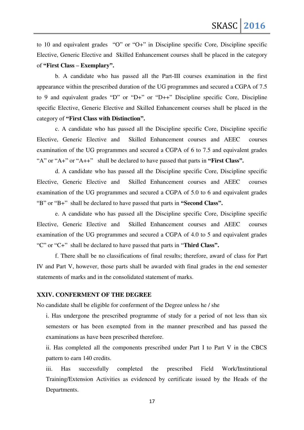to 10 and equivalent grades "O" or "O+" in Discipline specific Core, Discipline specific Elective, Generic Elective and Skilled Enhancement courses shall be placed in the category of **"First Class – Exemplary".** 

b. A candidate who has passed all the Part-III courses examination in the first appearance within the prescribed duration of the UG programmes and secured a CGPA of 7.5 to 9 and equivalent grades "D" or "D+" or "D++" Discipline specific Core, Discipline specific Elective, Generic Elective and Skilled Enhancement courses shall be placed in the category of **"First Class with Distinction".** 

c. A candidate who has passed all the Discipline specific Core, Discipline specific Elective, Generic Elective and Skilled Enhancement courses and AEEC courses examination of the UG programmes and secured a CGPA of 6 to 7.5 and equivalent grades "A" or "A+" or "A++" shall be declared to have passed that parts in **"First Class".** 

d. A candidate who has passed all the Discipline specific Core, Discipline specific Elective, Generic Elective and Skilled Enhancement courses and AEEC courses examination of the UG programmes and secured a CGPA of 5.0 to 6 and equivalent grades "B" or "B+" shall be declared to have passed that parts in **"Second Class".** 

e. A candidate who has passed all the Discipline specific Core, Discipline specific Elective, Generic Elective and Skilled Enhancement courses and AEEC courses examination of the UG programmes and secured a CGPA of 4.0 to 5 and equivalent grades "C" or "C+" shall be declared to have passed that parts in "**Third Class".**

f. There shall be no classifications of final results; therefore, award of class for Part IV and Part V, however, those parts shall be awarded with final grades in the end semester statements of marks and in the consolidated statement of marks.

## **XXIV. CONFERMENT OF THE DEGREE**

No candidate shall be eligible for conferment of the Degree unless he / she

i. Has undergone the prescribed programme of study for a period of not less than six semesters or has been exempted from in the manner prescribed and has passed the examinations as have been prescribed therefore.

ii. Has completed all the components prescribed under Part I to Part V in the CBCS pattern to earn 140 credits.

iii. Has successfully completed the prescribed Field Work/Institutional Training/Extension Activities as evidenced by certificate issued by the Heads of the Departments.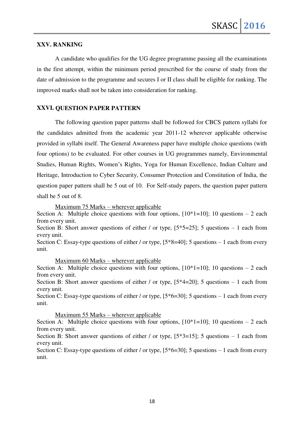## **XXV. RANKING**

A candidate who qualifies for the UG degree programme passing all the examinations in the first attempt, within the minimum period prescribed for the course of study from the date of admission to the programme and secures I or II class shall be eligible for ranking. The improved marks shall not be taken into consideration for ranking.

#### **XXVI. QUESTION PAPER PATTERN**

The following question paper patterns shall be followed for CBCS pattern syllabi for the candidates admitted from the academic year 2011-12 wherever applicable otherwise provided in syllabi itself. The General Awareness paper have multiple choice questions (with four options) to be evaluated. For other courses in UG programmes namely, Environmental Studies, Human Rights, Women's Rights, Yoga for Human Excellence, Indian Culture and Heritage, Introduction to Cyber Security, Consumer Protection and Constitution of India, the question paper pattern shall be 5 out of 10. For Self-study papers, the question paper pattern shall be 5 out of 8.

Maximum 75 Marks – wherever applicable

Section A: Multiple choice questions with four options,  $[10*1=10]$ ; 10 questions – 2 each from every unit.

Section B: Short answer questions of either / or type,  $[5*5=25]$ ; 5 questions – 1 each from every unit.

Section C: Essay-type questions of either / or type,  $[5*8=40]$ ; 5 questions – 1 each from every unit.

Maximum 60 Marks – wherever applicable

Section A: Multiple choice questions with four options,  $[10*1=10]$ ; 10 questions – 2 each from every unit.

Section B: Short answer questions of either / or type,  $[5*4=20]$ ; 5 questions – 1 each from every unit.

Section C: Essay-type questions of either / or type,  $[5*6=30]$ ; 5 questions – 1 each from every unit.

Maximum 55 Marks – wherever applicable

Section A: Multiple choice questions with four options,  $[10*1=10]$ ; 10 questions – 2 each from every unit.

Section B: Short answer questions of either / or type,  $[5*3=15]$ ; 5 questions – 1 each from every unit.

Section C: Essay-type questions of either / or type,  $[5*6=30]$ ; 5 questions – 1 each from every unit.